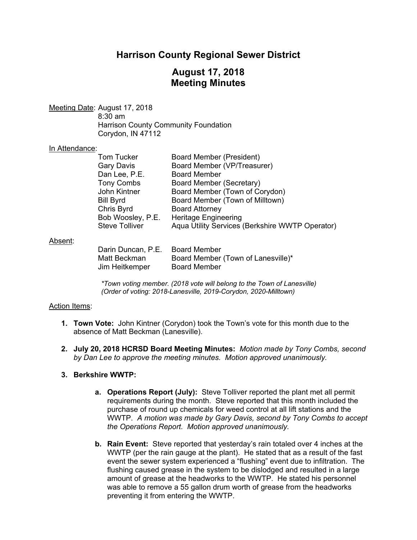# **Harrison County Regional Sewer District**

# **August 17, 2018 Meeting Minutes**

Meeting Date: August 17, 2018

 8:30 am Harrison County Community Foundation Corydon, IN 47112

#### In Attendance:

| <b>Tom Tucker</b> | Board Member (President)                        |
|-------------------|-------------------------------------------------|
| Gary Davis        | Board Member (VP/Treasurer)                     |
| Dan Lee, P.E.     | <b>Board Member</b>                             |
| Tony Combs        | Board Member (Secretary)                        |
| John Kintner      | Board Member (Town of Corydon)                  |
| Bill Byrd         | Board Member (Town of Milltown)                 |
| Chris Byrd        | <b>Board Attorney</b>                           |
| Bob Woosley, P.E. | <b>Heritage Engineering</b>                     |
| Steve Tolliver    | Aqua Utility Services (Berkshire WWTP Operator) |
|                   |                                                 |

#### Absent:

| Darin Duncan, P.E. Board Member |                                    |
|---------------------------------|------------------------------------|
| Matt Beckman                    | Board Member (Town of Lanesville)* |
| Jim Heitkemper                  | <b>Board Member</b>                |

*\*Town voting member. (2018 vote will belong to the Town of Lanesville) (Order of voting: 2018-Lanesville, 2019-Corydon, 2020-Milltown)* 

## Action Items:

- **1. Town Vote:** John Kintner (Corydon) took the Town's vote for this month due to the absence of Matt Beckman (Lanesville).
- **2. July 20, 2018 HCRSD Board Meeting Minutes:** *Motion made by Tony Combs, second by Dan Lee to approve the meeting minutes. Motion approved unanimously.*

## **3. Berkshire WWTP:**

- **a. Operations Report (July):** Steve Tolliver reported the plant met all permit requirements during the month. Steve reported that this month included the purchase of round up chemicals for weed control at all lift stations and the WWTP. *A motion was made by Gary Davis, second by Tony Combs to accept the Operations Report. Motion approved unanimously.*
- **b. Rain Event:** Steve reported that yesterday's rain totaled over 4 inches at the WWTP (per the rain gauge at the plant). He stated that as a result of the fast event the sewer system experienced a "flushing" event due to infiltration. The flushing caused grease in the system to be dislodged and resulted in a large amount of grease at the headworks to the WWTP. He stated his personnel was able to remove a 55 gallon drum worth of grease from the headworks preventing it from entering the WWTP.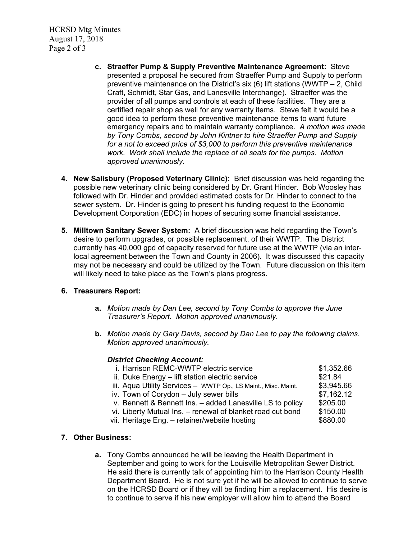HCRSD Mtg Minutes August 17, 2018 Page 2 of 3

- **c. Straeffer Pump & Supply Preventive Maintenance Agreement:** Steve presented a proposal he secured from Straeffer Pump and Supply to perform preventive maintenance on the District's six  $(6)$  lift stations (WWTP – 2, Child Craft, Schmidt, Star Gas, and Lanesville Interchange). Straeffer was the provider of all pumps and controls at each of these facilities. They are a certified repair shop as well for any warranty items. Steve felt it would be a good idea to perform these preventive maintenance items to ward future emergency repairs and to maintain warranty compliance. *A motion was made by Tony Combs, second by John Kintner to hire Straeffer Pump and Supply for a not to exceed price of \$3,000 to perform this preventive maintenance work. Work shall include the replace of all seals for the pumps. Motion approved unanimously.*
- **4. New Salisbury (Proposed Veterinary Clinic):** Brief discussion was held regarding the possible new veterinary clinic being considered by Dr. Grant Hinder. Bob Woosley has followed with Dr. Hinder and provided estimated costs for Dr. Hinder to connect to the sewer system. Dr. Hinder is going to present his funding request to the Economic Development Corporation (EDC) in hopes of securing some financial assistance.
- **5. Milltown Sanitary Sewer System:** A brief discussion was held regarding the Town's desire to perform upgrades, or possible replacement, of their WWTP. The District currently has 40,000 gpd of capacity reserved for future use at the WWTP (via an interlocal agreement between the Town and County in 2006). It was discussed this capacity may not be necessary and could be utilized by the Town. Future discussion on this item will likely need to take place as the Town's plans progress.

## **6. Treasurers Report:**

- **a.** *Motion made by Dan Lee, second by Tony Combs to approve the June Treasurer's Report. Motion approved unanimously.*
- **b.** *Motion made by Gary Davis, second by Dan Lee to pay the following claims. Motion approved unanimously.*

#### *District Checking Account:*

| i. Harrison REMC-WWTP electric service                         | \$1,352.66 |
|----------------------------------------------------------------|------------|
| ii. Duke Energy - lift station electric service                | \$21.84    |
| iii. Aqua Utility Services - WWTP Op., LS Maint., Misc. Maint. | \$3,945.66 |
| iv. Town of Corydon - July sewer bills                         | \$7,162.12 |
| v. Bennett & Bennett Ins. - added Lanesville LS to policy      | \$205.00   |
| vi. Liberty Mutual Ins. - renewal of blanket road cut bond     | \$150.00   |
| vii. Heritage Eng. - retainer/website hosting                  | \$880.00   |
|                                                                |            |

#### **7. Other Business:**

**a.** Tony Combs announced he will be leaving the Health Department in September and going to work for the Louisville Metropolitan Sewer District. He said there is currently talk of appointing him to the Harrison County Health Department Board. He is not sure yet if he will be allowed to continue to serve on the HCRSD Board or if they will be finding him a replacement. His desire is to continue to serve if his new employer will allow him to attend the Board